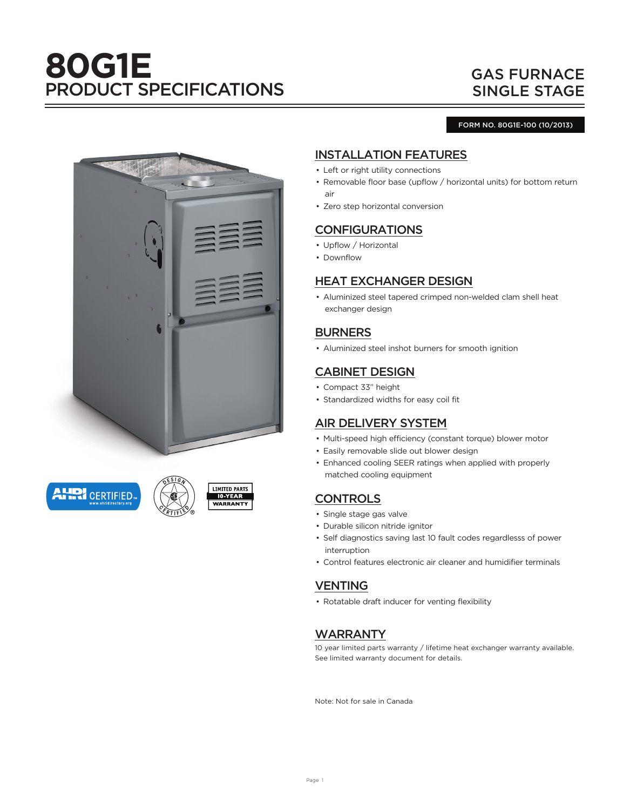# **80G1E** PRODUCT SPECIFICATIONS

# GAS FURNACE SINGLE STAGE

#### FORM NO. 80G1E-100 (10/2013)



**AHRI** CERTIFIED





## INSTALLATION FEATURES

- Left or right utility connections
- Removable floor base (upflow / horizontal units) for bottom return air
- Zero step horizontal conversion

## CONFIGURATIONS

- Upflow / Horizontal
- Downflow

## HEAT EXCHANGER DESIGN

• Aluminized steel tapered crimped non-welded clam shell heat exchanger design

#### BURNERS

• Aluminized steel inshot burners for smooth ignition

#### CABINET DESIGN

- Compact 33" height
- Standardized widths for easy coil fit

#### AIR DELIVERY SYSTEM

- Multi-speed high efficiency (constant torque) blower motor
- Easily removable slide out blower design
- Enhanced cooling SEER ratings when applied with properly matched cooling equipment

## **CONTROLS**

- Single stage gas valve
- Durable silicon nitride ignitor
- Self diagnostics saving last 10 fault codes regardlesss of power interruption
- Control features electronic air cleaner and humidifier terminals

## VENTING

• Rotatable draft inducer for venting flexibility

#### WARRANTY

10 year limited parts warranty / lifetime heat exchanger warranty available. See limited warranty document for details.

Note: Not for sale in Canada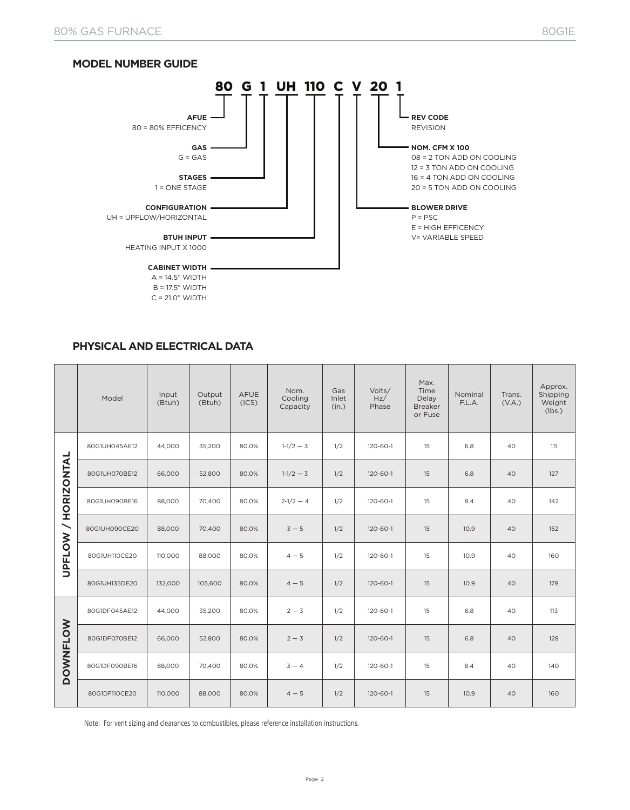



#### **PHYSICAL AND ELECTRICAL DATA**

|                            | Model         | Input<br>(Btuh) | Output<br>(Btuh) | <b>AFUE</b><br>(ICS) | Nom.<br>Cooling<br>Capacity | Gas<br>Inlet<br>(in.) | Volts/<br>Hz/<br>Phase | Max.<br>Time<br>Delay<br><b>Breaker</b><br>or Fuse | Nominal<br>F.L.A. | Trans.<br>(V.A.) | Approx.<br>Shipping<br>Weight<br>(lbs.) |
|----------------------------|---------------|-----------------|------------------|----------------------|-----------------------------|-----------------------|------------------------|----------------------------------------------------|-------------------|------------------|-----------------------------------------|
|                            | 80G1UH045AE12 | 44,000          | 35,200           | 80.0%                | $1-1/2-3$                   | 1/2                   | 120-60-1               | 15                                                 | 6.8               | 40               | 111                                     |
|                            | 80G1UH070BE12 | 66,000          | 52,800           | 80.0%                | $1-1/2-3$                   | 1/2                   | $120 - 60 - 1$         | 15                                                 | 6.8               | 40               | 127                                     |
| <b>UPFLOW / HORIZONTAL</b> | 80G1UH090BE16 | 88,000          | 70,400           | 80.0%                | $2-1/2-4$                   | 1/2                   | 120-60-1               | 15                                                 | 8.4               | 40               | 142                                     |
|                            | 80G1UH090CE20 | 88,000          | 70,400           | 80.0%                | $3 - 5$                     | 1/2                   | $120 - 60 - 1$         | 15                                                 | 10.9              | 40               | 152                                     |
|                            | 80G1UH110CE20 | 110,000         | 88,000           | 80.0%                | $4 - 5$                     | 1/2                   | 120-60-1               | 15                                                 | 10.9              | 40               | 160                                     |
|                            | 80G1UH135DE20 | 132,000         | 105,600          | 80.0%                | $4 - 5$                     | 1/2                   | $120 - 60 - 1$         | 15                                                 | 10.9              | 40               | 178                                     |
|                            | 80G1DF045AE12 | 44,000          | 35,200           | 80.0%                | $2 - 3$                     | 1/2                   | $120 - 60 - 1$         | 15                                                 | 6.8               | 40               | 113                                     |
| <b>DOWNFLOW</b>            | 80G1DF070BE12 | 66,000          | 52,800           | 80.0%                | $2 - 3$                     | 1/2                   | $120 - 60 - 1$         | 15                                                 | 6.8               | 40               | 128                                     |
|                            | 80G1DF090BE16 | 88,000          | 70,400           | 80.0%                | $3 - 4$                     | 1/2                   | 120-60-1               | 15                                                 | 8.4               | 40               | 140                                     |
|                            | 80G1DF110CE20 | 110,000         | 88,000           | 80.0%                | $4 - 5$                     | 1/2                   | $120 - 60 - 1$         | 15                                                 | 10.9              | 40               | 160                                     |

Note: For vent sizing and clearances to combustibles, please reference installation instructions.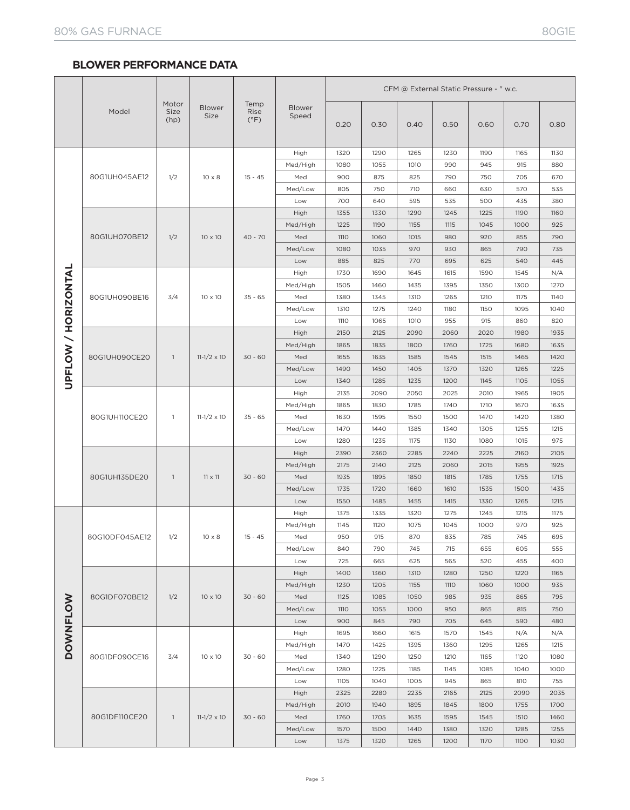#### **BLOWER PERFORMANCE DATA**

|                     |                |                       |                       |                               |                        | CFM @ External Static Pressure - " w.c. |      |      |      |      |      |      |
|---------------------|----------------|-----------------------|-----------------------|-------------------------------|------------------------|-----------------------------------------|------|------|------|------|------|------|
|                     | Model          | Motor<br>Size<br>(hp) | <b>Blower</b><br>Size | Temp<br>Rise<br>$(^{\circ}F)$ | <b>Blower</b><br>Speed | 0.20                                    | 0.30 | 0.40 | 0.50 | 0.60 | 0.70 | 0.80 |
|                     |                |                       |                       |                               | High                   | 1320                                    | 1290 | 1265 | 1230 | 1190 | 1165 | 1130 |
|                     | 80G1UH045AE12  |                       |                       |                               | Med/High               | 1080                                    | 1055 | 1010 | 990  | 945  | 915  | 880  |
|                     |                | 1/2                   | $10 \times 8$         | $15 - 45$                     | Med                    | 900                                     | 875  | 825  | 790  | 750  | 705  | 670  |
|                     |                |                       |                       |                               | Med/Low                | 805                                     | 750  | 710  | 660  | 630  | 570  | 535  |
|                     |                |                       |                       |                               | Low                    | 700                                     | 640  | 595  | 535  | 500  | 435  | 380  |
|                     | 80G1UH070BE12  |                       |                       | $40 - 70$                     | High                   | 1355                                    | 1330 | 1290 | 1245 | 1225 | 1190 | 1160 |
|                     |                |                       |                       |                               | Med/High               | 1225                                    | 1190 | 1155 | 1115 | 1045 | 1000 | 925  |
|                     |                | 1/2                   | $10 \times 10$        |                               | Med                    | <b>1110</b>                             | 1060 | 1015 | 980  | 920  | 855  | 790  |
|                     |                |                       |                       |                               | Med/Low                | 1080                                    | 1035 | 970  | 930  | 865  | 790  | 735  |
|                     |                |                       |                       |                               | Low                    | 885                                     | 825  | 770  | 695  | 625  | 540  | 445  |
|                     |                |                       | 10 x 10               | $35 - 65$                     | High                   | 1730                                    | 1690 | 1645 | 1615 | 1590 | 1545 | N/A  |
|                     |                |                       |                       |                               | Med/High               | 1505                                    | 1460 | 1435 | 1395 | 1350 | 1300 | 1270 |
|                     | 80G1UH090BE16  | 3/4                   |                       |                               | Med                    | 1380                                    | 1345 | 1310 | 1265 | 1210 | 1175 | 1140 |
|                     |                |                       |                       |                               | Med/Low                | 1310                                    | 1275 | 1240 | 1180 | 1150 | 1095 | 1040 |
|                     |                |                       |                       |                               | Low                    | <b>1110</b>                             | 1065 | 1010 | 955  | 915  | 860  | 820  |
|                     |                |                       | $11 - 1/2 \times 10$  | $30 - 60$                     | High                   | 2150                                    | 2125 | 2090 | 2060 | 2020 | 1980 | 1935 |
| UPFLOW / HORIZONTAL |                | $\overline{1}$        |                       |                               | Med/High               | 1865                                    | 1835 | 1800 | 1760 | 1725 | 1680 | 1635 |
|                     | 80G1UH090CE20  |                       |                       |                               | Med                    | 1655                                    | 1635 | 1585 | 1545 | 1515 | 1465 | 1420 |
|                     |                |                       |                       |                               | Med/Low                | 1490                                    | 1450 | 1405 | 1370 | 1320 | 1265 | 1225 |
|                     |                |                       |                       |                               | Low                    | 1340                                    | 1285 | 1235 | 1200 | 1145 | 1105 | 1055 |
|                     | 80G1UH110CE20  |                       |                       |                               | High                   | 2135                                    | 2090 | 2050 | 2025 | 2010 | 1965 | 1905 |
|                     |                | $\mathbf{1}$          | $11 - 1/2 \times 10$  | $35 - 65$                     | Med/High               | 1865                                    | 1830 | 1785 | 1740 | 1710 | 1670 | 1635 |
|                     |                |                       |                       |                               | Med                    | 1630                                    | 1595 | 1550 | 1500 | 1470 | 1420 | 1380 |
|                     |                |                       |                       |                               | Med/Low                | 1470                                    | 1440 | 1385 | 1340 | 1305 | 1255 | 1215 |
|                     |                |                       |                       |                               | Low                    | 1280                                    | 1235 | 1175 | 1130 | 1080 | 1015 | 975  |
|                     | 80G1UH135DE20  |                       | $11 \times 11$        | $30 - 60$                     | High                   | 2390                                    | 2360 | 2285 | 2240 | 2225 | 2160 | 2105 |
|                     |                | $\mathbf{1}$          |                       |                               | Med/High               | 2175                                    | 2140 | 2125 | 2060 | 2015 | 1955 | 1925 |
|                     |                |                       |                       |                               | Med                    | 1935                                    | 1895 | 1850 | 1815 | 1785 | 1755 | 1715 |
|                     |                |                       |                       |                               | Med/Low                | 1735                                    | 1720 | 1660 | 1610 | 1535 | 1500 | 1435 |
|                     |                |                       |                       |                               | Low                    | 1550                                    | 1485 | 1455 | 1415 | 1330 | 1265 | 1215 |
|                     | 80G10DF045AE12 | 1/2                   | $10 \times 8$         | $15 - 45$                     | High                   | 1375                                    | 1335 | 1320 | 1275 | 1245 | 1215 | 1175 |
|                     |                |                       |                       |                               | Med/High               | 1145                                    | 1120 | 1075 | 1045 | 1000 | 970  | 925  |
|                     |                |                       |                       |                               | Med                    | 950                                     | 915  | 870  | 835  | 785  | 745  | 695  |
|                     |                |                       |                       |                               | Med/Low                | 840                                     | 790  | 745  | 715  | 655  | 605  | 555  |
|                     |                |                       |                       |                               | Low                    | 725                                     | 665  | 625  | 565  | 520  | 455  | 400  |
|                     | 80G1DF070BE12  | 1/2                   | 10 x 10               | $30 - 60$                     | High                   | 1400                                    | 1360 | 1310 | 1280 | 1250 | 1220 | 1165 |
|                     |                |                       |                       |                               | Med/High               | 1230                                    | 1205 | 1155 | 1110 | 1060 | 1000 | 935  |
|                     |                |                       |                       |                               | Med                    | 1125                                    | 1085 | 1050 | 985  | 935  | 865  | 795  |
|                     |                |                       |                       |                               | Med/Low                | <b>1110</b>                             | 1055 | 1000 | 950  | 865  | 815  | 750  |
| <b>DOWNFLOW</b>     |                |                       |                       |                               | Low                    | 900                                     | 845  | 790  | 705  | 645  | 590  | 480  |
|                     | 80G1DF090CE16  | 3/4                   | 10 x 10               | $30 - 60$                     | High                   | 1695                                    | 1660 | 1615 | 1570 | 1545 | N/A  | N/A  |
|                     |                |                       |                       |                               | Med/High               | 1470                                    | 1425 | 1395 | 1360 | 1295 | 1265 | 1215 |
|                     |                |                       |                       |                               | Med                    | 1340                                    | 1290 | 1250 | 1210 | 1165 | 1120 | 1080 |
|                     |                |                       |                       |                               | Med/Low                | 1280                                    | 1225 | 1185 | 1145 | 1085 | 1040 | 1000 |
|                     |                |                       |                       |                               | Low                    | 1105                                    | 1040 | 1005 | 945  | 865  | 810  | 755  |
|                     | 80G1DF110CE20  | $\mathbf{1}$          | $11 - 1/2 \times 10$  | $30 - 60$                     | High                   | 2325                                    | 2280 | 2235 | 2165 | 2125 | 2090 | 2035 |
|                     |                |                       |                       |                               | Med/High               | 2010                                    | 1940 | 1895 | 1845 | 1800 | 1755 | 1700 |
|                     |                |                       |                       |                               | Med                    | 1760                                    | 1705 | 1635 | 1595 | 1545 | 1510 | 1460 |
|                     |                |                       |                       |                               | Med/Low                | 1570                                    | 1500 | 1440 | 1380 | 1320 | 1285 | 1255 |
|                     |                |                       |                       |                               | Low                    | 1375                                    | 1320 | 1265 | 1200 | 1170 | 1100 | 1030 |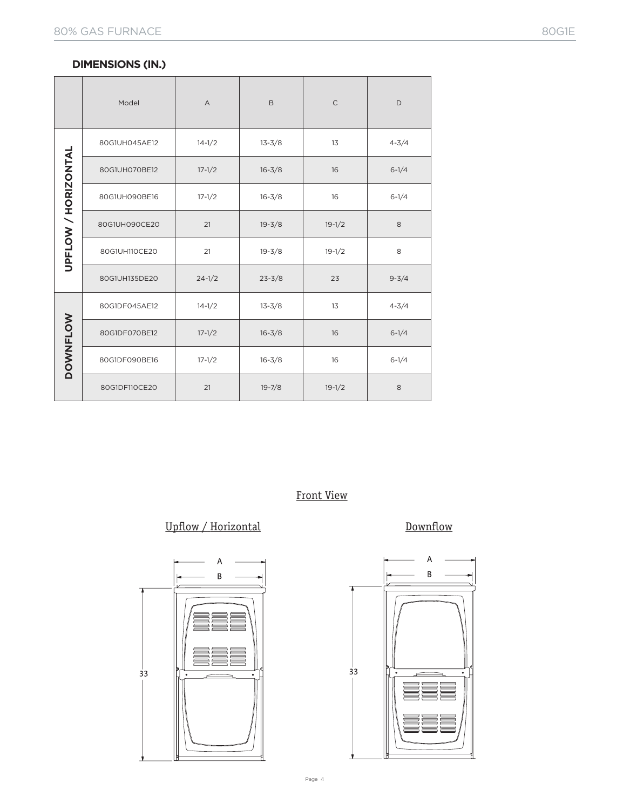#### **DIMENSIONS (IN.)**

|                     | Model         | $\forall$  | B          | $\mathsf C$ | D         |  |
|---------------------|---------------|------------|------------|-------------|-----------|--|
|                     | 80G1UH045AE12 | $14 - 1/2$ | $13 - 3/8$ | 13          | $4 - 3/4$ |  |
|                     | 80G1UH070BE12 | $17 - 1/2$ | $16 - 3/8$ |             | $6 - 1/4$ |  |
|                     | 80G1UH090BE16 | $17 - 1/2$ | $16 - 3/8$ | 16          | $6 - 1/4$ |  |
|                     | 80G1UH090CE20 | 21         | $19 - 3/8$ | $19 - 1/2$  |           |  |
| UPFLOW / HORIZONTAL | 80G1UH110CE20 | 21         | $19 - 3/8$ | $19 - 1/2$  | 8         |  |
|                     | 80G1UH135DE20 | $24 - 1/2$ | $23 - 3/8$ | 23          | $9 - 3/4$ |  |
| <b>DOWNFLOW</b>     | 80G1DF045AE12 | $14 - 1/2$ | $13 - 3/8$ | 13          | $4 - 3/4$ |  |
|                     | 80G1DF070BE12 | $17 - 1/2$ | $16 - 3/8$ | 16          | $6 - 1/4$ |  |
|                     | 80G1DF090BE16 | $17 - 1/2$ | $16 - 3/8$ | 16          | $6 - 1/4$ |  |
|                     | 80G1DF110CE20 | 21         | $19 - 7/8$ | $19 - 1/2$  | 8         |  |

# Front View

# Upflow / Horizontal Downflow



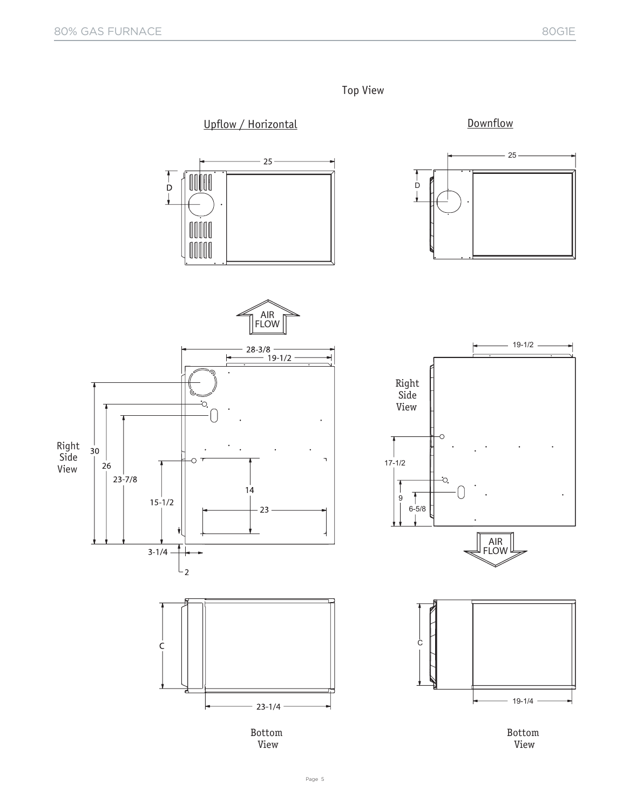

Page 5